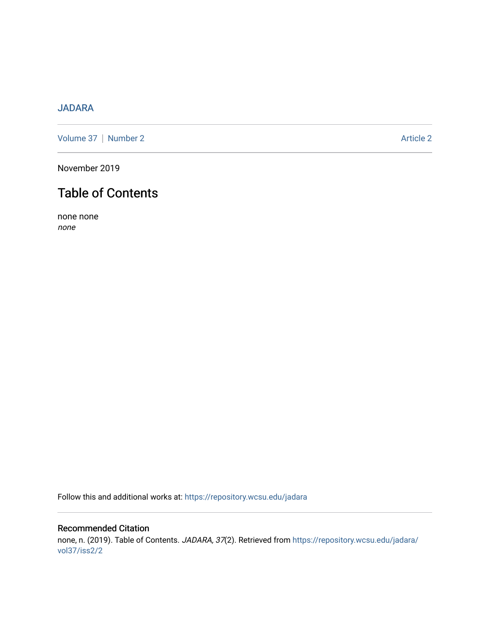## [JADARA](https://repository.wcsu.edu/jadara)

[Volume 37](https://repository.wcsu.edu/jadara/vol37) | [Number 2](https://repository.wcsu.edu/jadara/vol37/iss2) Article 2

November 2019

## Table of Contents

none none none

Follow this and additional works at: [https://repository.wcsu.edu/jadara](https://repository.wcsu.edu/jadara?utm_source=repository.wcsu.edu%2Fjadara%2Fvol37%2Fiss2%2F2&utm_medium=PDF&utm_campaign=PDFCoverPages)

## Recommended Citation none, n. (2019). Table of Contents. JADARA, 37(2). Retrieved from [https://repository.wcsu.edu/jadara/](https://repository.wcsu.edu/jadara/vol37/iss2/2?utm_source=repository.wcsu.edu%2Fjadara%2Fvol37%2Fiss2%2F2&utm_medium=PDF&utm_campaign=PDFCoverPages) [vol37/iss2/2](https://repository.wcsu.edu/jadara/vol37/iss2/2?utm_source=repository.wcsu.edu%2Fjadara%2Fvol37%2Fiss2%2F2&utm_medium=PDF&utm_campaign=PDFCoverPages)